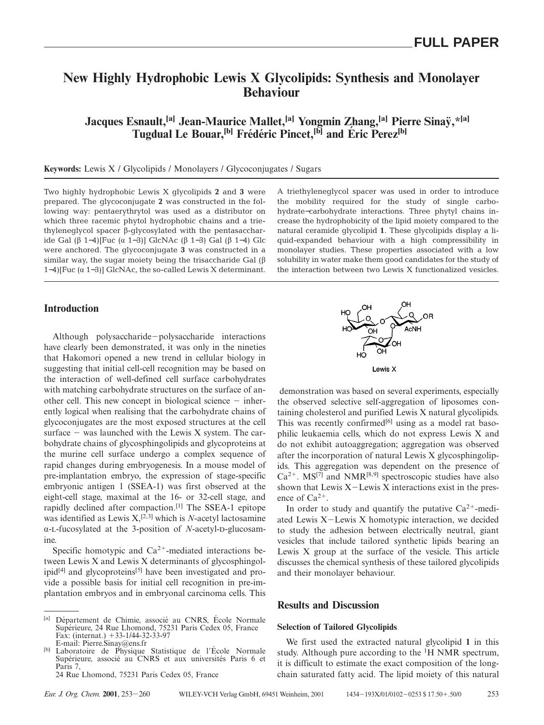# **New Highly Hydrophobic Lewis X Glycolipids: Synthesis and Monolayer Behaviour**

**Jacques Esnault,[a] Jean-Maurice Mallet,[a] Yongmin Zhang,[a] Pierre Sinay¨,\*[a]**  $T$ ugdual Le Bouar,<sup>[b]</sup> Frédéric Pincet,<sup>[b]</sup> and Éric Perez<sup>[b]</sup>

## **Keywords:** Lewis X / Glycolipids / Monolayers / Glycoconjugates / Sugars

Two highly hydrophobic Lewis X glycolipids **2** and **3** were prepared. The glycoconjugate **2** was constructed in the following way: pentaerythrytol was used as a distributor on which three racemic phytol hydrophobic chains and a triethyleneglycol spacer β-glycosylated with the pentasaccharide Gal (β 1−4)[Fuc (α 1−3)] GlcNAc (β 1−3) Gal (β 1−4) Glc were anchored. The glycoconjugate **3** was constructed in a similar way, the sugar moiety being the trisaccharide Gal (β 1−4)[Fuc (α 1−3)] GlcNAc, the so-called Lewis X determinant.

# **Introduction**

Although polysaccharide-polysaccharide interactions have clearly been demonstrated, it was only in the nineties that Hakomori opened a new trend in cellular biology in suggesting that initial cell-cell recognition may be based on the interaction of well-defined cell surface carbohydrates with matching carbohydrate structures on the surface of another cell. This new concept in biological science  $-$  inherently logical when realising that the carbohydrate chains of glycoconjugates are the most exposed structures at the cell surface  $-$  was launched with the Lewis X system. The carbohydrate chains of glycosphingolipids and glycoproteins at the murine cell surface undergo a complex sequence of rapid changes during embryogenesis. In a mouse model of pre-implantation embryo, the expression of stage-specific embryonic antigen 1 (SSEA-1) was first observed at the eight-cell stage, maximal at the 16- or 32-cell stage, and rapidly declined after compaction.[1] The SSEA-1 epitope was identified as Lewis X,<sup>[2,3]</sup> which is *N*-acetyl lactosamine α-L-fucosylated at the 3-position of *N*-acetyl-D-glucosamine.

Specific homotypic and  $Ca^{2+}$ -mediated interactions between Lewis X and Lewis X determinants of glycosphingol $ipid^{[4]}$  and glycoproteins<sup>[5]</sup> have been investigated and provide a possible basis for initial cell recognition in pre-implantation embryos and in embryonal carcinoma cells. This A triethyleneglycol spacer was used in order to introduce the mobility required for the study of single carbohydrate−carbohydrate interactions. Three phytyl chains increase the hydrophobicity of the lipid moiety compared to the natural ceramide glycolipid **1**. These glycolipids display a liquid-expanded behaviour with a high compressibility in monolayer studies. These properties associated with a low solubility in water make them good candidates for the study of the interaction between two Lewis X functionalized vesicles.



demonstration was based on several experiments, especially the observed selective self-aggregation of liposomes containing cholesterol and purified Lewis X natural glycolipids. This was recently confirmed $[6]$  using as a model rat basophilic leukaemia cells, which do not express Lewis X and do not exhibit autoaggregation; aggregation was observed after the incorporation of natural Lewis X glycosphingolipids. This aggregation was dependent on the presence of  $Ca^{2+}$ . MS<sup>[7]</sup> and NMR<sup>[8,9]</sup> spectroscopic studies have also shown that Lewis  $X$ –Lewis X interactions exist in the presence of  $Ca^{2+}$ .

In order to study and quantify the putative  $Ca^{2+}$ -mediated Lewis  $X$ –Lewis X homotypic interaction, we decided to study the adhesion between electrically neutral, giant vesicles that include tailored synthetic lipids bearing an Lewis X group at the surface of the vesicle. This article discusses the chemical synthesis of these tailored glycolipids and their monolayer behaviour.

## **Results and Discussion**

#### **Selection of Tailored Glycolipids**

We first used the extracted natural glycolipid **1** in this study. Although pure according to the <sup>1</sup>H NMR spectrum, it is difficult to estimate the exact composition of the longchain saturated fatty acid. The lipid moiety of this natural

<sup>&</sup>lt;sup>[a]</sup> Département de Chimie, associé au CNRS, École Normale Supérieure, 24 Rue Lhomond, 75231 Paris Cedex 05, France Fax: (internat.)  $+33-1/44-32-33-97$ <br>E-mail: Pierre.Sinay@ens.fr

Laboratoire de Physique Statistique de l'École Normale Supérieure, associé au CNRS et aux universités Paris 6 et Paris 7, 24 Rue Lhomond, 75231 Paris Cedex 05, France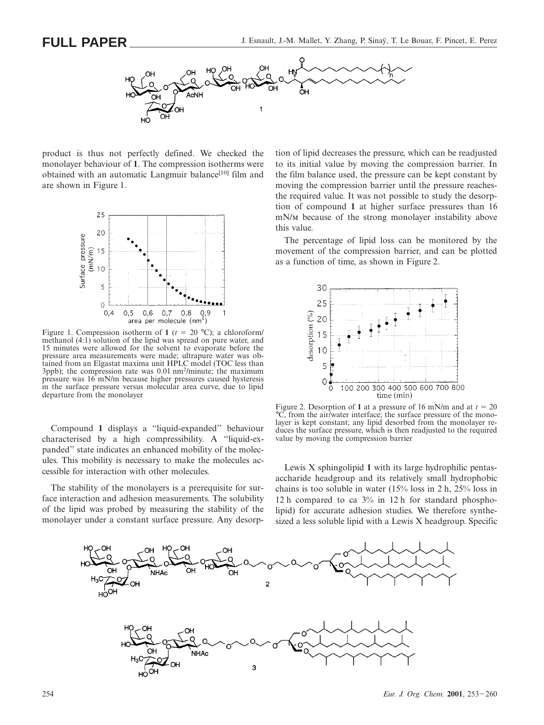

product is thus not perfectly defined. We checked the monolayer behaviour of **1**. The compression isotherms were obtained with an automatic Langmuir balance<sup>[10]</sup> film and are shown in Figure 1.



Figure 1. Compression isotherm of 1 ( $t = 20$  °C); a chloroform/ methanol (4:1) solution of the lipid was spread on pure water, and 15 minutes were allowed for the solvent to evaporate before the pressure area measurements were made; ultrapure water was obtained from an Elgastat maxima unit HPLC model (TOC less than 3ppb); the compression rate was 0.01 nm<sup>2</sup>/minute; the maximum pressure was 16 mN/m because higher pressures caused hysteresis in the surface pressure versus molecular area curve, due to lipid departure from the monolayer

Compound **1** displays a ''liquid-expanded'' behaviour characterised by a high compressibility. A ''liquid-expanded'' state indicates an enhanced mobility of the molecules. This mobility is necessary to make the molecules accessible for interaction with other molecules.

The stability of the monolayers is a prerequisite for surface interaction and adhesion measurements. The solubility of the lipid was probed by measuring the stability of the monolayer under a constant surface pressure. Any desorption of lipid decreases the pressure, which can be readjusted to its initial value by moving the compression barrier. In the film balance used, the pressure can be kept constant by moving the compression barrier until the pressure reachesthe required value. It was not possible to study the desorption of compound **1** at higher surface pressures than 16 mN/<sub>M</sub> because of the strong monolayer instability above this value.

The percentage of lipid loss can be monitored by the movement of the compression barrier, and can be plotted as a function of time, as shown in Figure 2.



Figure 2. Desorption of 1 at a pressure of 16 mN/m and at  $t = 20$ °C, from the air/water interface; the surface pressure of the monolayer is kept constant; any lipid desorbed from the monolayer reduces the surface pressure, which is then readjusted to the required value by moving the compression barrier

Lewis X sphingolipid **1** with its large hydrophilic pentasaccharide headgroup and its relatively small hydrophobic chains is too soluble in water (15% loss in 2 h, 25% loss in 12 h compared to ca 3% in 12 h for standard phospholipid) for accurate adhesion studies. We therefore synthesized a less soluble lipid with a Lewis X headgroup. Specific

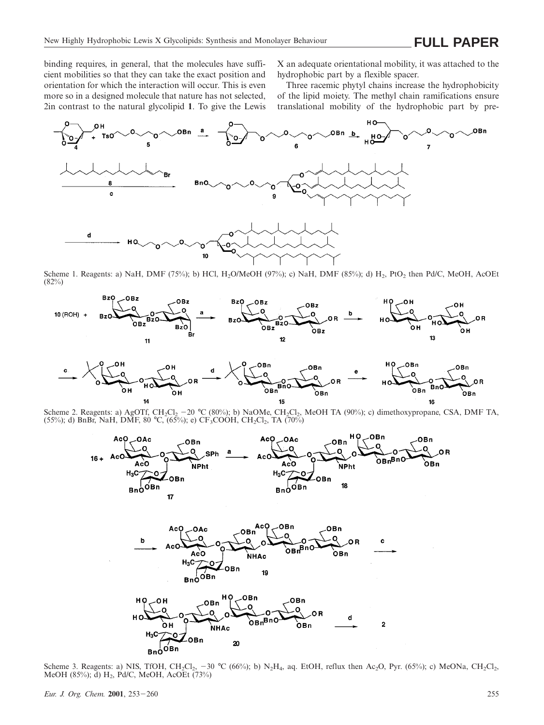binding requires, in general, that the molecules have sufficient mobilities so that they can take the exact position and orientation for which the interaction will occur. This is even more so in a designed molecule that nature has not selected, 2in contrast to the natural glycolipid **1**. To give the Lewis X an adequate orientational mobility, it was attached to the hydrophobic part by a flexible spacer.

Three racemic phytyl chains increase the hydrophobicity of the lipid moiety. The methyl chain ramifications ensure translational mobility of the hydrophobic part by pre-



Scheme 1. Reagents: a) NaH, DMF (75%); b) HCl, H<sub>2</sub>O/MeOH (97%); c) NaH, DMF (85%); d) H<sub>2</sub>, PtO<sub>2</sub> then Pd/C, MeOH, AcOEt (82%)





Scheme 2. Reagents: a) AgOTf, CH<sub>2</sub>Cl<sub>2</sub> -20 °C (80%); b) NaOMe, CH<sub>2</sub>Cl<sub>2</sub>, MeOH TA (90%); c) dimethoxypropane, CSA, DMF TA, (55%); d) BnBr, NaH, DMF, 80 °C, (65%); e)  $CF_3COOH$ ,  $CH_2Cl_2$ , TA (70%)



Scheme 3. Reagents: a) NIS, TfOH, CH<sub>2</sub>Cl<sub>2</sub>, -30 °C (66%); b) N<sub>2</sub>H<sub>4</sub>, aq. EtOH, reflux then Ac<sub>2</sub>O, Pyr. (65%); c) MeONa, CH<sub>2</sub>Cl<sub>2</sub>, MeOH (85%); d)  $H_2$ , Pd/C, MeOH, AcOEt (73%)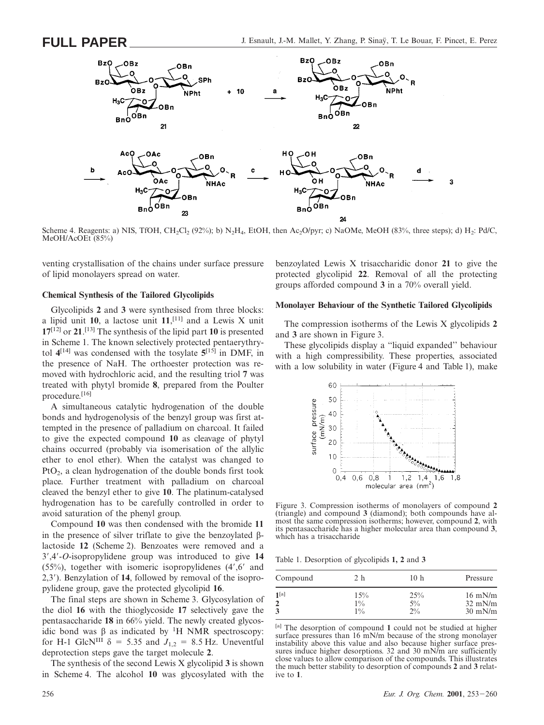

Scheme 4. Reagents: a) NIS, TfOH, CH<sub>2</sub>Cl<sub>2</sub> (92%); b) N<sub>2</sub>H<sub>4</sub>, EtOH, then Ac<sub>2</sub>O/pyr; c) NaOMe, MeOH (83%, three steps); d) H<sub>2</sub>: Pd/C, MeOH/AcOEt (85%)

venting crystallisation of the chains under surface pressure of lipid monolayers spread on water.

#### **Chemical Synthesis of the Tailored Glycolipids**

Glycolipids **2** and **3** were synthesised from three blocks: a lipid unit **10**, a lactose unit **11**, [11] and a Lewis X unit **17**[12] or **21**. [13] The synthesis of the lipid part **10** is presented in Scheme 1. The known selectively protected pentaerythrytol  $4^{[14]}$  was condensed with the tosylate  $5^{[15]}$  in DMF, in the presence of NaH. The orthoester protection was removed with hydrochloric acid, and the resulting triol **7** was treated with phytyl bromide **8**, prepared from the Poulter procedure.[16]

A simultaneous catalytic hydrogenation of the double bonds and hydrogenolysis of the benzyl group was first attempted in the presence of palladium on charcoal. It failed to give the expected compound **10** as cleavage of phytyl chains occurred (probably via isomerisation of the allylic ether to enol ether). When the catalyst was changed to  $P<sub>t</sub>O<sub>2</sub>$ , a clean hydrogenation of the double bonds first took place. Further treatment with palladium on charcoal cleaved the benzyl ether to give **10**. The platinum-catalysed hydrogenation has to be carefully controlled in order to avoid saturation of the phenyl group.

Compound **10** was then condensed with the bromide **11** in the presence of silver triflate to give the benzoylated βlactoside **12** (Scheme 2). Benzoates were removed and a 39,49-*O*-isopropylidene group was introduced to give **14**  $(55\%)$ , together with isomeric isopropylidenes  $(4\%$ <sup>6</sup> and 2,39). Benzylation of **14**, followed by removal of the isopropylidene group, gave the protected glycolipid **16**.

The final steps are shown in Scheme 3. Glycosylation of the diol **16** with the thioglycoside **17** selectively gave the pentasaccharide **18** in 66% yield. The newly created glycosidic bond was  $\beta$  as indicated by <sup>1</sup>H NMR spectroscopy: for H-1 GlcN<sup>III</sup>  $\delta$  = 5.35 and  $J_{12}$  = 8.5 Hz. Uneventful deprotection steps gave the target molecule **2**.

The synthesis of the second Lewis X glycolipid **3** is shown in Scheme 4. The alcohol **10** was glycosylated with the benzoylated Lewis X trisaccharidic donor **21** to give the protected glycolipid **22**. Removal of all the protecting groups afforded compound **3** in a 70% overall yield.

#### **Monolayer Behaviour of the Synthetic Tailored Glycolipids**

The compression isotherms of the Lewis X glycolipids **2** and **3** are shown in Figure 3.

These glycolipids display a ''liquid expanded'' behaviour with a high compressibility. These properties, associated with a low solubility in water (Figure 4 and Table 1), make



Figure 3. Compression isotherms of monolayers of compound **2** (triangle) and compound **3** (diamond); both compounds have almost the same compression isotherms; however, compound **2**, with its pentasaccharide has a higher molecular area than compound **3**, which has a trisaccharide

Table 1. Desorption of glycolipids **1, 2** and **3**

| Compound         | 2 h   | 10 <sub>h</sub> | Pressure          |
|------------------|-------|-----------------|-------------------|
| 1 <sup>[a]</sup> | 15%   | 25%             | $16$ mN/m         |
| $\overline{2}$   | $1\%$ | $5\%$           | $32$ mN/m         |
| 3                | $1\%$ | $2\%$           | $30 \text{ mN/m}$ |

[a] The desorption of compound **1** could not be studied at higher surface pressures than 16 mN/m because of the strong monolayer instability above this value and also because higher surface pressures induce higher desorptions. 32 and 30 mN/m are sufficiently close values to allow comparison of the compounds. This illustrates the much better stability to desorption of compounds **2** and **3** relative to **1**.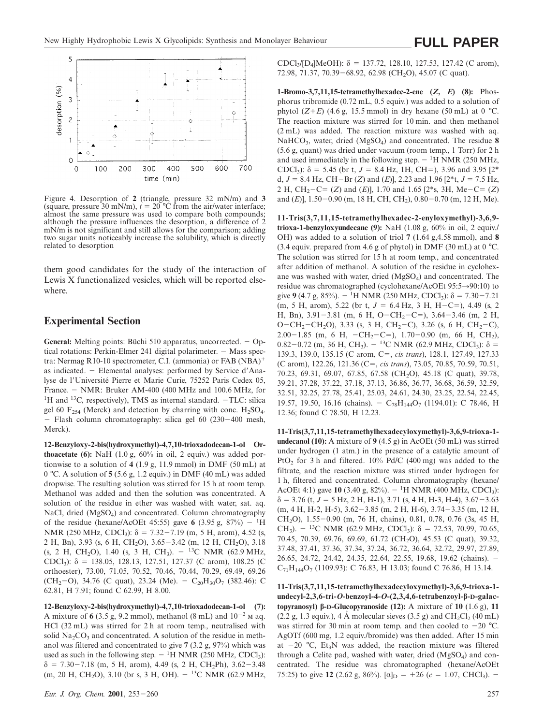

Figure 4. Desorption of **2** (triangle, pressure 32 mN/m) and **3** (square, pressure 30 mN/m),  $t = 20$  °C from the air/water interface; almost the same pressure was used to compare both compounds; although the pressure influences the desorption, a difference of 2 mN/m is not significant and still allows for the comparison; adding two sugar units noticeably increase the solubility, which is directly related to desorption

them good candidates for the study of the interaction of Lewis X functionalized vesicles, which will be reported elsewhere.

## **Experimental Section**

**General:** Melting points: Büchi 510 apparatus, uncorrected.  $-\text{Op}$ tical rotations: Perkin-Elmer 241 digital polarimeter.  $-$  Mass spectra: Nermag R10-10 spectrometer, C.I. (ammonia) or  $FAB (NBA)^+$ as indicated. - Elemental analyses: performed by Service d'Analyse de l'Université Pierre et Marie Curie, 75252 Paris Cedex 05, France. - NMR: Bruker AM-400 (400 MHz and 100.6 MHz, for <sup>1</sup>H and <sup>13</sup>C, respectively), TMS as internal standard. -TLC: silica gel 60  $F_{254}$  (Merck) and detection by charring with conc.  $H_2SO_4$ .  $-$  Flash column chromatography: silica gel 60 (230-400 mesh, Merck).

**12-Benzyloxy-2-bis(hydroxymethyl)-4,7,10-trioxadodecan-1-ol Orthoacetate (6):** NaH (1.0 g, 60% in oil, 2 equiv.) was added portionwise to a solution of **4** (1.9 g, 11.9 mmol) in DMF (50 mL) at 0 °C. A solution of **5** (5.6 g, 1.2 equiv.) in DMF (40 mL) was added dropwise. The resulting solution was stirred for 15 h at room temp. Methanol was added and then the solution was concentrated. A solution of the residue in ether was washed with water, sat. aq. NaCl, dried (MgSO<sub>4</sub>) and concentrated. Column chromatography of the residue (hexane/AcOEt 45:55) gave 6 (3.95 g,  $87\%$ ) - <sup>1</sup>H NMR (250 MHz, CDCl<sub>3</sub>):  $\delta = 7.32 - 7.19$  (m, 5 H, arom), 4.52 (s, 2 H, Bn), 3.93 (s, 6 H, CH<sub>2</sub>O), 3.65-3.42 (m, 12 H, CH<sub>2</sub>O), 3.18 (s, 2 H, CH<sub>2</sub>O), 1.40 (s, 3 H, CH<sub>3</sub>).  $-$  <sup>13</sup>C NMR (62.9 MHz, CDCl<sub>3</sub>):  $\delta$  = 138.05, 128.13, 127.51, 127.37 (C arom), 108.25 (C orthoester), 73.00, 71.05, 70.52, 70.46, 70.44, 70.29, 69.49, 69.26 (CH<sub>2</sub>-O), 34.76 (C quat), 23.24 (Me). - C<sub>20</sub>H<sub>30</sub>O<sub>7</sub> (382.46): C 62.81, H 7.91; found C 62.99, H 8.00.

**12-Benzyloxy-2-bis(hydroxymethyl)-4,7,10-trioxadodecan-1-ol (7):** A mixture of 6 (3.5 g, 9.2 mmol), methanol (8 mL) and  $10^{-2}$  M aq. HCl (32 mL) was stirred for 2 h at room temp., neutralised with solid  $Na_2CO_3$  and concentrated. A solution of the residue in methanol was filtered and concentrated to give **7** (3.2 g, 97%) which was used as such in the following step.  $-$  <sup>1</sup>H NMR (250 MHz, CDCl<sub>3</sub>):  $\delta = 7.30 - 7.18$  (m, 5 H, arom), 4.49 (s, 2 H, CH<sub>2</sub>Ph), 3.62-3.48 (m, 20 H, CH<sub>2</sub>O), 3.10 (br s, 3 H, OH).  $-$  <sup>13</sup>C NMR (62.9 MHz, CDCl<sub>3</sub>/[D<sub>4</sub>]MeOH):  $\delta = 137.72, 128.10, 127.53, 127.42$  (C arom), 72.98, 71.37, 70.39 – 68.92, 62.98 (CH<sub>2</sub>O), 45.07 (C quat).

**1-Bromo-3,7,11,15-tetramethylhexadec-2-ene (***Z***,** *E***) (8):** Phosphorus tribromide (0.72 mL, 0.5 equiv.) was added to a solution of phytol  $(Z+E)$  (4.6 g, 15.5 mmol) in dry hexane (50 mL) at 0 °C. The reaction mixture was stirred for 10 min. and then methanol (2 mL) was added. The reaction mixture was washed with aq. NaHCO<sub>3</sub>, water, dried (MgSO<sub>4</sub>) and concentrated. The residue 8 (5.6 g, quant) was dried under vacuum (room temp., 1 Torr) for 2 h and used immediately in the following step.  $-$  <sup>1</sup>H NMR (250 MHz, CDCl<sub>3</sub>):  $\delta = 5.45$  (br t,  $J = 8.4$  Hz, 1H, CH=), 3.96 and 3.95 [2<sup>\*</sup> d,  $J = 8.4$  Hz, CH-Br (*Z*) and (*E*)], 2.23 and 1.96 [2<sup>\*</sup>t,  $J = 7.5$  Hz, 2 H, CH<sub>2</sub>-C= (*Z*) and (*E*)], 1.70 and 1.65 [2<sup>\*</sup>s, 3H, Me-C= (*Z*) and  $(E)$ ], 1.50-0.90 (m, 18 H, CH, CH<sub>2</sub>), 0.80-0.70 (m, 12 H, Me).

**11-Tris(3,7,11,15-tetramethylhexadec-2-enyloxymethyl)-3,6,9 trioxa-1-benzyloxyundecane (9):** NaH  $(1.08 \text{ g}, 60\% \text{ in oil}, 2 \text{ equiv.})$ OH) was added to a solution of triol **7** (1.64 g,4.58 mmol), and **8** (3.4 equiv. prepared from 4.6 g of phytol) in DMF (30 mL) at 0 °C. The solution was stirred for 15 h at room temp., and concentrated after addition of methanol. A solution of the residue in cyclohexane was washed with water, dried (MgSO<sub>4</sub>) and concentrated. The residue was chromatographed (cyclohexane/AcOEt  $95:5\rightarrow 90:10$ ) to give **9** (4.7 g, 85%).  $-$  <sup>1</sup>H NMR (250 MHz, CDCl<sub>3</sub>):  $\delta$  = 7.30-7.21 (m, 5 H, arom), 5.22 (br t,  $J = 6.4$  Hz, 3 H, H-C=), 4.49 (s, 2) H, Bn),  $3.91-3.81$  (m, 6 H, O-CH<sub>2</sub>-C=),  $3.64-3.46$  (m, 2 H, O-CH<sub>2</sub>-CH<sub>2</sub>O), 3.33 (s, 3 H, CH<sub>2</sub>-C), 3.26 (s, 6 H, CH<sub>2</sub>-C), 2.00-1.85 (m, 6 H, -CH<sub>2</sub>-C=), 1.70-0.90 (m, 66 H, CH<sub>2</sub>), 0.82-0.72 (m, 36 H, CH<sub>3</sub>).  $-$  <sup>13</sup>C NMR (62.9 MHz, CDCl<sub>3</sub>):  $\delta$  = 139.3, 139.0, 135.15 (C arom, C5, *cis trans*), 128.1, 127.49, 127.33 (C arom), 122.26, 121.36 (C=, *cis trans*), 73.05, 70.85, 70.59, 70.51, 70.23, 69.31, 69.07, 67.85, 67.58 (CH<sub>2</sub>O), 45.18 (C quat), 39.78, 39.21, 37.28, 37.22, 37.18, 37.13, 36.86, 36.77, 36.68, 36.59, 32.59, 32.51, 32.25, 27.78, 25.41, 25.03, 24.61, 24.30, 23.25, 22.54, 22.45, 19.57, 19.50, 16.16 (chains). -  $C_{78}H_{144}O_7$  (1194.01): C 78.46, H 12.36; found C 78.50, H 12.23.

**11-Tris(3,7,11,15-tetramethylhexadecyloxymethyl)-3,6,9-trioxa-1 undecanol (10):** A mixture of **9** (4.5 g) in AcOEt (50 mL) was stirred under hydrogen (1 atm.) in the presence of a catalytic amount of PtO<sub>2</sub> for 3 h and filtered.  $10\%$  Pd/C (400 mg) was added to the filtrate, and the reaction mixture was stirred under hydrogen for 1 h, filtered and concentrated. Column chromatography (hexane/ AcOEt 4:1) gave **10** (3.40 g, 82%). - <sup>1</sup>H NMR (400 MHz, CDCl<sub>3</sub>):  $\delta$  = 3.76 (t, *J* = 5 Hz, 2 H, H-1), 3.71 (s, 4 H, H-3, H-4), 3.67–3.63  $(m, 4 H, H-2, H-5), 3.62-3.85$   $(m, 2 H, H-6), 3.74-3.35$   $(m, 12 H,$ CH<sub>2</sub>O), 1.55-0.90 (m, 76 H, chains), 0.81, 0.78, 0.76 (3s, 45 H, CH<sub>3</sub>).  $-$  <sup>13</sup>C NMR (62.9 MHz, CDCl<sub>3</sub>):  $\delta$  = 72.53, 70.99, 70.65, 70.45, 70.39, 69.76, 69.69, 61.72 (CH<sub>2</sub>O), 45.53 (C quat), 39.32, 37.48, 37.41, 37.36, 37.34, 37.24, 36.72, 36.64, 32.72, 29.97, 27.89, 26.65, 24.72, 24.42, 24.35, 22.64, 22.55, 19.68, 19.62 (chains). 2  $C_{71}H_{144}O_7$  (1109.93): C 76.83, H 13.03; found C 76.86, H 13.14.

**11-Tris(3,7,11,15-tetramethylhexadecyloxymethyl)-3,6,9-trioxa-1 undecyl-2,3,6-tri-***O***-benzoyl-4-***O***-(2,3,4,6-tetrabenzoyl-β-D-galactopyranosyl) β-D-Glucopyranoside (12):** A mixture of **10** (1.6 g), **11** (2.2 g, 1.3 equiv.), 4 A molecular sieves (3.5 g) and CH<sub>2</sub>Cl<sub>2</sub> (40 mL) was stirred for 30 min at room temp. and then cooled to  $-20$  °C. AgOTf (600 mg, 1.2 equiv./bromide) was then added. After 15 min at  $-20$  °C, Et<sub>3</sub>N was added, the reaction mixture was filtered through a Celite pad, washed with water, dried  $(MgSO<sub>4</sub>)$  and concentrated. The residue was chromatographed (hexane/AcOEt 75:25) to give **12** (2.62 g, 86%).  $\alpha|_{\text{D}} = +26$  ( $c = 1.07$ , CHCl<sub>3</sub>). -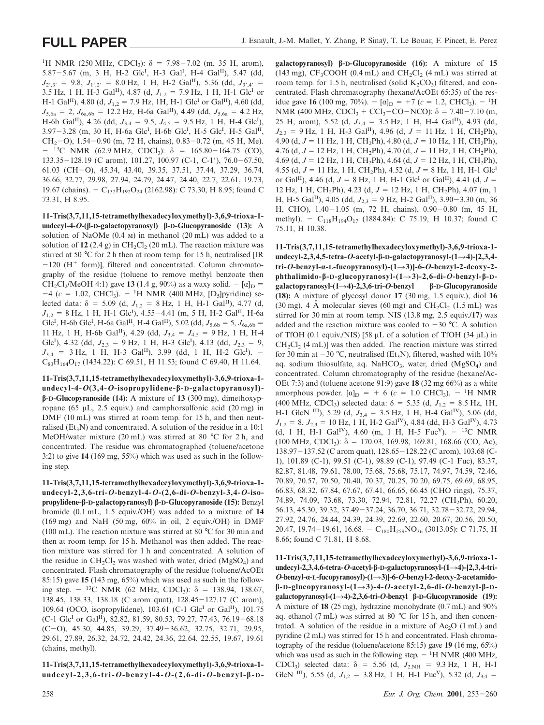<sup>1</sup>H NMR (250 MHz, CDCl<sub>3</sub>): δ = 7.98 – 7.02 (m, 35 H, arom), 5.87 - 5.67 (m, 3 H, H-2 Glc<sup>I</sup>, H-3 Gal<sup>I</sup>, H-4 Gal<sup>II</sup>), 5.47 (dd,  $J_{2',3'} = 9.8$ ,  $J_{1',2'} = 8.0$  Hz, 1 H, H-2 Gal<sup>II</sup>), 5.36 (dd,  $J_{3',4'} =$ 3.5 Hz, 1 H, H-3 Gal<sup>II</sup>), 4.87 (d,  $J_{1,2} = 7.9$  Hz, 1 H, H-1 Glc<sup>I</sup> or H-1 Gal<sup>II</sup>), 4.80 (d,  $J_{1,2} = 7.9$  Hz, 1H, H-1 Glc<sup>I</sup> or Gal<sup>II</sup>), 4.60 (dd,  $J_{5,6a} = 2$ ,  $J_{6a,6b} = 12.2$  Hz, H-6a Gal<sup>II</sup>), 4.49 (dd,  $J_{5,6a} = 4.2$  Hz, H-6b Gal<sup>II</sup>), 4.26 (dd,  $J_{3,4} = 9.5$ ,  $J_{4,5} = 9.5$  Hz, 1 H, H-4 Glc<sup>I</sup>), 3.97-3.28 (m, 30 H, H-6a Glc<sup>I</sup>, H-6b Glc<sup>I</sup>, H-5 Glc<sup>I</sup>, H-5 Gal<sup>II</sup>, CH<sub>2</sub> $-$ O), 1.54 $-$ 0.90 (m, 72 H, chains), 0.83 $-$ 0.72 (m, 45 H, Me).  $-$  <sup>13</sup>C NMR (62.9 MHz, CDCl<sub>3</sub>):  $\delta$  = 165.80-164.75 (CO),  $133.35-128.19$  (C arom),  $101.27$ ,  $100.97$  (C-1, C-1'),  $76.0-67.50$ , 61.03 (CH-O), 45.34, 43.40, 39.35, 37.51, 37.44, 37.29, 36.74, 36.66, 32.77, 29.98, 27.94, 24.79, 24.47, 24.40, 22.7, 22.61, 19.73, 19.67 (chains). - C<sub>132</sub>H<sub>192</sub>O<sub>24</sub> (2162.98): C 73.30, H 8.95; found C 73.31, H 8.95.

**11-Tris(3,7,11,15-tetramethylhexadecyloxymethyl)-3,6,9-trioxa-1 undecyl-4-***O***-(β-D-galactopyranosyl) β-D-Glucopyranoside (13):** A solution of NaOMe  $(0.4 \text{ m})$  in methanol  $(20 \text{ mL})$  was added to a solution of  $12$  (2.4 g) in CH<sub>2</sub>Cl<sub>2</sub> (20 mL). The reaction mixture was stirred at 50 °C for 2 h then at room temp. for 15 h, neutralised [IR  $-120$  (H<sup>+</sup> form)], filtered and concentrated. Column chromatography of the residue (toluene to remove methyl benzoate then CH<sub>2</sub>Cl<sub>2</sub>/MeOH 4:1) gave **13** (1.4 g, 90%) as a waxy solid.  $-$  [ $\alpha$ ]<sub>D</sub> =  $-4$  ( $c = 1.02$ , CHCl<sub>3</sub>).  $-$  <sup>1</sup>H NMR (400 MHz, [D<sub>5</sub>]pyridine) selected data:  $\delta = 5.09$  (d,  $J_{1,2} = 8$  Hz, 1 H, H-1 Gal<sup>II</sup>), 4.77 (d,  $J_{1,2} = 8$  Hz, 1 H, H-1 Glc<sup>I</sup>), 4.55–4.41 (m, 5 H, H-2 Gal<sup>II</sup>, H-6a Glc<sup>I</sup>, H-6b Glc<sup>I</sup>, H-6a Gal<sup>II</sup>, H-4 Gal<sup>II</sup>), 5.02 (dd,  $J_{5,6b} = 5$ ,  $J_{6a,6b} =$ 11 Hz, 1 H, H-6b Gal<sup>II</sup>), 4.29 (dd,  $J_{3,4} = J_{4,5} = 9$  Hz, 1 H, H-4 Glc<sup>I</sup>), 4.32 (dd,  $J_{2,3} = 9$  Hz, 1 H, H-3 Glc<sup>I</sup>), 4.13 (dd,  $J_{2,3} = 9$ ,  $J_{3,4}$  = 3 Hz, 1 H, H-3 Gal<sup>II</sup>), 3.99 (dd, 1 H, H-2 Glc<sup>I</sup>). - $C_{83}H_{164}O_{17}$  (1434.22): C 69.51, H 11.53; found C 69.40, H 11.64.

**11-Tris(3,7,11,15-tetramethylhexadecyloxymethyl)-3,6,9-trioxa-1 undecyl-4-***O***(3,4-***O***-isopropylidene-β-D-galactopyranosyl) β-D-Glucopyranoside (14):** A mixture of **13** (300 mg), dimethoxypropane (65 µL, 2.5 equiv.) and camphorsulfonic acid (20 mg) in DMF (10 mL) was stirred at room temp. for 15 h, and then neutralised ( $Et<sub>3</sub>N$ ) and concentrated. A solution of the residue in a 10:1 MeOH/water mixture (20 mL) was stirred at 80 °C for 2 h, and concentrated. The residue was chromatographed (toluene/acetone 3:2) to give **14** (169 mg, 55%) which was used as such in the following step.

**11-Tris(3,7,11,15-tetramethylhexadecyloxymethyl)-3,6,9-trioxa-1 undecyl-2,3,6-tri-***O***-benzyl-4-***O***-(2,6-di-***O***-benzyl-3,4-***O***-isopropylidene-β-D-galactopyranosyl) β-D-Glucopyranoside (15):** Benzyl bromide (0.1 mL, 1.5 equiv./OH) was added to a mixture of **14**  $(169 \text{ mg})$  and NaH  $(50 \text{ mg}, 60\%$  in oil, 2 equiv./OH) in DMF (100 mL). The reaction mixture was stirred at 80 °C for 30 min and then at room temp. for 15 h. Methanol was then added. The reaction mixture was stirred for 1 h and concentrated. A solution of the residue in CH<sub>2</sub>Cl<sub>2</sub> was washed with water, dried (MgSO<sub>4</sub>) and concentrated. Flash chromatography of the residue (toluene/AcOEt 85:15) gave **15** (143 mg, 65%) which was used as such in the following step.  $-$  <sup>13</sup>C NMR (62 MHz, CDCl<sub>3</sub>):  $\delta$  = 138.94, 138.67, 138.45, 138.33, 138.18 (C arom quat), 128.45-127.17 (C arom), 109.64 (OCO, isopropylidene), 103.61 (C-1 Glc<sup>I</sup> or Gal<sup>II</sup>), 101.75  $(C-1 \text{ Glc}^I \text{ or } \text{Gal}^{II}), 82.82, 81.59, 80.53, 79.27, 77.43, 76.19-68.18$  $(C-0)$ , 45.30, 44.85, 39.29, 37.49-36.62, 32.75, 32.71, 29.95, 29.61, 27.89, 26.32, 24.72, 24.42, 24.36, 22.64, 22.55, 19.67, 19.61 (chains, methyl).

**11-Tris(3,7,11,15-tetramethylhexadecyloxymethyl)-3,6,9-trioxa-1 undecyl-2,3,6-tri-***O***-benzyl-4-***O***-(2,6-di-***O***-benzyl-β- D -**

**galactopyranosyl) β-D-Glucopyranoside (16):** A mixture of **15** (143 mg),  $CF_3COOH$  (0.4 mL) and  $CH_2Cl_2$  (4 mL) was stirred at room temp. for 1.5 h, neutralised (solid  $K_2CO_3$ ) filtered, and concentrated. Flash chromatography (hexane/AcOEt 65:35) of the residue gave **16** (100 mg, 70%).  $- [\alpha]_D = +7 (c = 1.2, \text{CHCl}_3)$ .  $- {}^{1}H$ NMR (400 MHz, CDCl<sub>3</sub> + CCl<sub>3</sub>-CO-NCO):  $\delta$  = 7.40-7.10 (m, 25 H, arom), 5.52 (d,  $J_{3,4} = 3.5$  Hz, 1 H, H-4 Gal<sup>II</sup>), 4.93 (dd,  $J_{2,3} = 9$  Hz, 1 H, H-3 Gal<sup>II</sup>), 4.96 (d,  $J = 11$  Hz, 1 H, CH<sub>2</sub>Ph), 4.90 (d,  $J = 11$  Hz, 1 H, CH<sub>2</sub>Ph), 4.80 (d,  $J = 10$  Hz, 1 H, CH<sub>2</sub>Ph), 4.76 (d,  $J = 12$  Hz, 1 H, CH<sub>2</sub>Ph), 4.70 (d,  $J = 11$  Hz, 1 H, CH<sub>2</sub>Ph), 4.69 (d,  $J = 12$  Hz, 1 H, CH<sub>2</sub>Ph), 4.64 (d,  $J = 12$  Hz, 1 H, CH<sub>2</sub>Ph), 4.55 (d,  $J = 11$  Hz, 1 H, CH<sub>2</sub>Ph), 4.52 (d,  $J = 8$  Hz, 1 H, H-1 Glc<sup>I</sup> or Gal<sup>II</sup>), 4.46 (d,  $J = 8$  Hz, 1 H, H-1 Glc<sup>I</sup> or Gal<sup>II</sup>), 4.41 (d,  $J =$ 12 Hz, 1 H, CH<sub>2</sub>Ph), 4.23 (d,  $J = 12$  Hz, 1 H, CH<sub>2</sub>Ph), 4.07 (m, 1 H, H-5 Gal<sup>II</sup>), 4.05 (dd,  $J_{2,3} = 9$  Hz, H-2 Gal<sup>II</sup>), 3.90–3.30 (m, 36 H, CHO),  $1.40-1.05$  (m, 72 H, chains),  $0.90-0.80$  (m, 45 H, methyl). -  $C_{118}H_{194}O_{17}$  (1884.84): C 75.19, H 10.37; found C 75.11, H 10.38.

**11-Tris(3,7,11,15-tetramethylhexadecyloxymethyl)-3,6,9-trioxa-1 undecyl-2,3,4,5-tetra-***O***-acetyl-β-D-galactopyranosyl-(1**R**4)-[2,3,4 tri-***O***-benzyl-α-L-fucopyranosyl)-(1**R**3)]-6-***O***-benzyl-2-deoxy-2 phthalimido-β-D-glucopyranosyl-(1**R**3)-2,6-di-***O***-benzyl-β-Dgalactopyranosyl-(1**R**4)-2,3,6-tri-***O***-benzyl β-D-Glucopyranoside (18):** A mixture of glycosyl donor **17** (30 mg, 1.5 equiv.), diol **16** (30 mg), 4 Å molecular sieves (60 mg) and  $CH_2Cl_2$  (1.5 mL) was stirred for 30 min at room temp. NIS (13.8 mg, 2.5 equiv./**17**) was added and the reaction mixture was cooled to  $-30$  °C. A solution of TfOH (0.1 equiv./NIS) [58  $\mu$ L of a solution of TfOH (34  $\mu$ L) in  $CH<sub>2</sub>Cl<sub>2</sub>$  (4 mL)] was then added. The reaction mixture was stirred for 30 min at  $-30$  °C, neutralised (Et<sub>3</sub>N), filtered, washed with 10% aq. sodium thiosulfate, aq. NaHCO<sub>3</sub>, water, dried (MgSO<sub>4</sub>) and concentrated. Column chromatography of the residue (hexane/Ac-OEt 7:3) and (toluene acetone 91:9) gave **18** (32 mg 66%) as a white amorphous powder.  $[\alpha]_D$  = + 6 (*c* = 1.0 CHCl<sub>3</sub>). - <sup>1</sup>H NMR (400 MHz, CDCl<sub>3</sub>) selected data:  $\delta = 5.35$  (d,  $J_1$ <sub>2</sub> = 8.5 Hz, 1H, H-1 GlcN <sup>III</sup>), 5.29 (d,  $J_{3,4} = 3.5$  Hz, 1 H, H-4 Gal<sup>IV</sup>), 5.06 (dd,  $J_{1,2} = 8$ ,  $J_{2,3} = 10$  Hz, 1 H, H-2 Gal<sup>IV</sup>), 4.84 (dd, H-3 Gal<sup>IV</sup>), 4.73 (d, 1 H, H-1 Gal<sup>IV</sup>), 4.60 (m, 1 H, H-5 Fuc<sup>V</sup>). - <sup>13</sup>C NMR  $(100 \text{ MHz}, \text{CDCl}_3)$ :  $\delta = 170.03, 169.98, 169.81, 168.66 \text{ (CO, Ac)}$ , 138.97 – 137.52 (C arom quat), 128.65 – 128.22 (C arom), 103.68 (C-1), 101.89 (C-1), 99.51 (C-1), 98.89 (C-1), 97.49 (C-1 Fuc), 83.37, 82.87, 81.48, 79.61, 78.00, 75.68, 75.68, 75.17, 74.97, 74.59, 72.46, 70.89, 70.57, 70.50, 70.40, 70.37, 70.25, 70.20, 69.75, 69.69, 68.95, 66.83, 68.32, 67.84, 67.67, 67.41, 66.65, 66.45 (CHO rings), 75.37, 74.89, 74.09, 73.68, 73.30, 72.94, 72.81, 72.27 (CH<sub>2</sub>Ph), 60.20, 56.13, 45.30, 39.32, 37.49-37.24, 36.70, 36.71, 32.78-32.72, 29.94, 27.92, 24.76, 24.44, 24.39, 24.39, 22.69, 22.60, 20.67, 20.56, 20.50, 20.47, 19.74-19.61, 16.68. - C<sub>180</sub>H<sub>259</sub>NO<sub>36</sub> (3013.05): C 71.75, H 8.66; found C 71.81, H 8.68.

**11-Tris(3,7,11,15-tetramethylhexadecyloxymethyl)-3,6,9-trioxa-1 undecyl-2,3,4,6-tetra-***O***-acetyl-β-D-galactopyranosyl-(1**R**4)-[2,3,4-tri-***O***-benzyl-α-L-fucopyranosyl)-(1**R**3)]-6-***O***-benzyl-2-deoxy-2-acetamidoβ-D-glucopyranosyl-(1**R**3)-4-***O***-acetyl-2,6-di-***O***-benzyl-β-Dgalactopyranosyl-(1**R**4)-2,3,6-tri-***O***-benzyl β-D-Glucopyranoside (19):** A mixture of **18** (25 mg), hydrazine monohydrate (0.7 mL) and 90% aq. ethanol (7 mL) was stirred at 80  $^{\circ}$ C for 15 h, and then concentrated. A solution of the residue in a mixture of  $Ac_2O$  (1 mL) and pyridine (2 mL) was stirred for 15 h and concentrated. Flash chromatography of the residue (toluene/acetone 85:15) gave **19** (16 mg, 65%) which was used as such in the following step.  $-$  <sup>1</sup>H NMR (400 MHz, CDCl<sub>3</sub>) selected data:  $\delta$  = 5.56 (d,  $J_{2,NH}$  = 9.3 Hz, 1 H, H-1 GlcN <sup>III</sup>), 5.55 (d,  $J_{1,2} = 3.8$  Hz, 1 H, H-1 Fuc<sup>V</sup>), 5.32 (d,  $J_{3,4} =$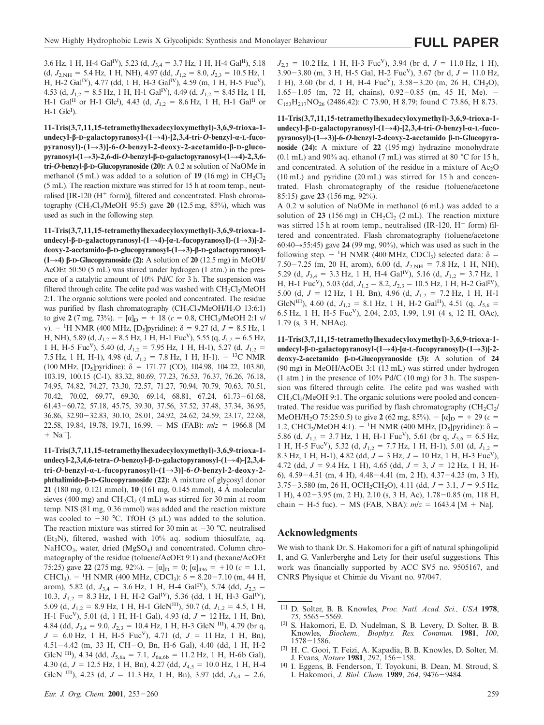3.6 Hz, 1 H, H-4 Gal<sup>IV</sup>), 5.23 (d,  $J_{3,4} = 3.7$  Hz, 1 H, H-4 Gal<sup>II</sup>), 5.18  $(d, J_{2,NH} = 5.4 \text{ Hz}, 1 \text{ H}, \text{ NH})$ , 4.97 (dd,  $J_{12} = 8.0, J_{23} = 10.5 \text{ Hz}, 10.5 \text{ Hz}$ H, H-2 GalIV), 4.77 (dd, 1 H, H-3 GalIV), 4.59 (m, 1 H, H-5 FucV), 4.53 (d,  $J_{1,2} = 8.5$  Hz, 1 H, H-1 Gal<sup>IV</sup>), 4.49 (d,  $J_{1,2} = 8.45$  Hz, 1 H, H-1 Gal<sup>II</sup> or H-1 Glc<sup>I</sup>), 4.43 (d,  $J_{1,2} = 8.6$  Hz, 1 H, H-1 Gal<sup>II</sup> or  $H-1$  Glc<sup>I</sup>).

**11-Tris(3,7,11,15-tetramethylhexadecyloxymethyl)-3,6,9-trioxa-1 undecyl-β-D-galactopyranosyl-(1**R**4)-[2,3,4-tri-***O***-benzyl-α-L-fucopyranosyl)-(1**R**3)]-6-***O***-benzyl-2-deoxy-2-acetamido-β-D-glucopyranosyl-(1**R**3)-2,6-di-***O***-benzyl-β-D-galactopyranosyl-(1**R**4)-2,3,6 tri-***O***-benzyl-β-D-Glucopyranoside (20):** A 0.2 M solution of NaOMe in methanol (5 mL) was added to a solution of  $19(16 \text{ mg})$  in  $CH_2Cl_2$ (5 mL). The reaction mixture was stirred for 15 h at room temp., neutralised  $[IR-120 (H<sup>+</sup> form)]$ , filtered and concentrated. Flash chromatography  $(CH_2Cl_2/MeOH$  95:5) gave **20** (12.5 mg, 85%), which was used as such in the following step.

**11-Tris(3,7,11,15-tetramethylhexadecyloxymethyl)-3,6,9-trioxa-1 undecyl-β-D-galactopyranosyl-(1**R**4)-[α-L-fucopyranosyl)-(1**R**3)]-2 deoxy-2-acetamido-β-D-glucopyranosyl-(1**R**3)-β-D-galactopyranosyl- (1** $\rightarrow$ **4**) β**-D-Glucopyranoside (2):** A solution of **20** (12.5 mg) in MeOH/ AcOEt 50:50 (5 mL) was stirred under hydrogen (1 atm.) in the presence of a catalytic amount of 10% Pd/C for 3 h. The suspension was filtered through celite. The celite pad was washed with  $CH_2Cl_2/MeOH$ 2:1. The organic solutions were pooled and concentrated. The residue was purified by flash chromatography  $(CH_2Cl<sub>2</sub>/MeOH/H<sub>2</sub>O 13:6:1)$ to give **2** (7 mg, 73%).  $- [\alpha]_D = + 18$  ( $c = 0.8$ , CHCl<sub>3</sub>/MeOH 2:1 v/ v).  $-$ <sup>1</sup>H NMR (400 MHz, [D<sub>5</sub>]pyridine): δ = 9.27 (d, *J* = 8.5 Hz, 1 H, NH), 5.89 (d,  $J_{1,2} = 8.5$  Hz, 1 H, H-1 Fuc<sup>V</sup>), 5.55 (q,  $J_{1,2} = 6.5$  Hz, 1 H, H-5 Fuc<sup>V</sup>), 5.40 (d,  $J_{1,2} = 7.95$  Hz, 1 H, H-1), 5.27 (d,  $J_{1,2} =$ 7.5 Hz, 1 H, H-1), 4.98 (d,  $J_{1,2} = 7.8$  Hz, 1 H, H-1).  $-$  <sup>13</sup>C NMR (100 MHz,  $[D_5]$ pyridine):  $\delta = 171.77$  (CO), 104.98, 104.22, 103.80, 103.19, 100.15 (C-1), 83.32, 80.69, 77.23, 76.53, 76.37, 76.26, 76.18, 74.95, 74.82, 74.27, 73.30, 72.57, 71.27, 70.94, 70.79, 70.63, 70.51, 70.42, 70.02, 69.77, 69.30, 69.14, 68.81, 67.24, 61.73-61.68, 61.43260.72, 57.18, 45.75, 39.30, 37.56, 37.52, 37.48, 37.34, 36.95, 36.86, 32.90-32.83, 30.10, 28.01, 24.92, 24.62, 24.59, 23.17, 22.68, 22.58, 19.84, 19.78, 19.71, 16.99. - MS (FAB):  $m/z = 1966.8$  [M  $+$  Na<sup>+</sup>l.

**11-Tris(3,7,11,15-tetramethylhexadecyloxymethyl)-3,6,9-trioxa-1 undecyl-2,3,4,6-tetra-***O***-benzoyl-β-D-galactopyranosyl-(1**R**4)-[2,3,4 tri-***O***-benzyl-α-L-fucopyranosyl)-(1**R**3)]-6-***O***-benzyl-2-deoxy-2 phthalimido-β-D-Glucopyranoside (22):** A mixture of glycosyl donor **21** (180 mg, 0.121 mmol), **10** (161 mg, 0.145 mmol), 4 A molecular sieves (400 mg) and  $CH_2Cl_2$  (4 mL) was stirred for 30 min at room temp. NIS (81 mg, 0.36 mmol) was added and the reaction mixture was cooled to  $-30$  °C. TfOH (5  $\mu$ L) was added to the solution. The reaction mixture was stirred for 30 min at  $-30$  °C, neutralised (Et<sub>3</sub>N), filtered, washed with  $10\%$  aq. sodium thiosulfate, aq.  $NaHCO<sub>3</sub>$ , water, dried  $(MgSO<sub>4</sub>)$  and concentrated. Column chromatography of the residue (toluene/AcOEt 9:1) and (hexane/AcOEt 75:25) gave **22** (275 mg, 92%).  $- [\alpha]_D = 0$ ;  $[\alpha]_{436} = +10$  (*c* = 1.1, CHCl<sub>3</sub>).  $-$  <sup>1</sup>H NMR (400 MHz, CDCl<sub>3</sub>):  $\delta$  = 8.20–7.10 (m, 44 H, arom), 5.82 (d,  $J_{3,4} = 3.6$  Hz, 1 H, H-4 Gal<sup>IV</sup>), 5.74 (dd,  $J_{2,3} =$ 10.3,  $J_{1,2} = 8.3$  Hz, 1 H, H-2 Gal<sup>IV</sup>), 5.36 (dd, 1 H, H-3 Gal<sup>IV</sup>), 5.09 (d,  $J_{1,2} = 8.9$  Hz, 1 H, H-1 GlcN<sup>III</sup>), 50.7 (d,  $J_{1,2} = 4.5$ , 1 H, H-1 Fuc<sup>V</sup>), 5.01 (d, 1 H, H-1 Gal), 4.93 (d,  $J = 12$  Hz, 1 H, Bn), 4.84 (dd,  $J_{3,4} = 9.0$ ,  $J_{2,3} = 10.4$  Hz, 1 H, H-3 GlcN <sup>III</sup>), 4.79 (br q,  $J = 6.0$  Hz, 1 H, H-5 Fuc<sup>V</sup>), 4.71 (d,  $J = 11$  Hz, 1 H, Bn), 4.51-4.42 (m, 33 H, CH-O, Bn, H-6 Gal), 4.40 (dd, 1 H, H-2 GlcN <sup>III</sup>), 4.34 (dd,  $J_{5,6a} = 7.1$ ,  $J_{6a,6b} = 11.2$  Hz, 1 H, H-6b Gal), 4.30 (d,  $J = 12.5$  Hz, 1 H, Bn), 4.27 (dd,  $J_{4,5} = 10.0$  Hz, 1 H, H-4 GlcN <sup>III</sup>), 4.23 (d,  $J = 11.3$  Hz, 1 H, Bn), 3.97 (dd,  $J_{3,4} = 2.6$ ,  $J_{2,3} = 10.2$  Hz, 1 H, H-3 Fuc<sup>V</sup>), 3.94 (br d,  $J = 11.0$  Hz, 1 H), 3.90 $-3.80$  (m, 3 H, H-5 Gal, H-2 Fuc<sup>V</sup>), 3.67 (br d,  $J = 11.0$  Hz, 1 H), 3.60 (br d, 1 H, H-4 Fuc<sup>V</sup>), 3.58-3.20 (m, 26 H, CH<sub>2</sub>O),  $1.65-1.05$  (m, 72 H, chains), 0.92-0.85 (m, 45 H, Me). - $C_{153}H_{217}NO_{26}$  (2486.42): C 73.90, H 8.79; found C 73.86, H 8.73.

**11-Tris(3,7,11,15-tetramethylhexadecyloxymethyl)-3,6,9-trioxa-1 undecyl-β-D-galactopyranosyl-(1**R**4)-[2,3,4-tri-***O***-benzyl-α-L-fucopyranosyl)-(1**R**3)]-6-***O***-benzyl-2-deoxy-2-acetamido β-D-Glucopyranoside (24):** A mixture of **22** (195 mg) hydrazine monohydrate  $(0.1 \text{ mL})$  and 90% aq. ethanol (7 mL) was stirred at 80 °C for 15 h, and concentrated. A solution of the residue in a mixture of  $Ac<sub>2</sub>O$ (10 mL) and pyridine (20 mL) was stirred for 15 h and concentrated. Flash chromatography of the residue (toluene/acetone 85:15) gave **23** (156 mg, 92%).

A 0.2  $\text{M}$  solution of NaOMe in methanol (6 mL) was added to a solution of  $23$  (156 mg) in  $CH_2Cl_2$  (2 mL). The reaction mixture was stirred 15 h at room temp., neutralised (IR-120,  $H^+$  form) filtered and concentrated. Flash chromatography (toluene/acetone 60:40 $\rightarrow$ 55:45) gave **24** (99 mg, 90%), which was used as such in the following step.  $-$  <sup>1</sup>H NMR (400 MHz, CDCl<sub>3</sub>) selected data:  $\delta$  = 7.50-7.25 (m, 20 H, arom), 6.00 (d,  $J_{2,NH}$  = 7.8 Hz, 1 H, NH), 5.29 (d,  $J_{3,4} = 3.3$  Hz, 1 H, H-4 Gal<sup>IV</sup>), 5.16 (d,  $J_{1,2} = 3.7$  Hz, 1 H, H-1 Fuc<sup>V</sup>), 5.03 (dd,  $J_{1,2} = 8.2, J_{2,3} = 10.5$  Hz, 1 H, H-2 Gal<sup>IV</sup>), 5.00 (d,  $J = 12$  Hz, 1 H, Bn), 4.96 (d,  $J_{1,2} = 7.2$  Hz, 1 H, H-1 GlcN<sup>III</sup>), 4.60 (d,  $J_{1,2} = 8.1$  Hz, 1 H, H-2 Gal<sup>II</sup>), 4.51 (q,  $J_{5,6} =$ 6.5 Hz, 1 H, H-5 FucV), 2.04, 2.03, 1.99, 1.91 (4 s, 12 H, OAc), 1.79 (s, 3 H, NHAc).

**11-Tris(3,7,11,15-tetramethylhexadecyloxymethyl)-3,6,9-trioxa-1 undecyl-β-D-galactopyranosyl-(1**R**4)-[α-L-fucopyranosyl)-(1**R**3)]-2 deoxy-2-acetamido β-D-Glucopyranoside (3):** A solution of **24** (90 mg) in MeOH/AcOEt 3:1 (13 mL) was stirred under hydrogen (1 atm.) in the presence of  $10\%$  Pd/C (10 mg) for 3 h. The suspension was filtered through celite. The celite pad was washed with  $CH<sub>2</sub>Cl<sub>2</sub>/MeOH$  9:1. The organic solutions were pooled and concentrated. The residue was purified by flash chromatography  $\left(\text{CH}_2\text{Cl}_2\right)$ MeOH/H<sub>2</sub>O 75:25:0.5) to give **2** (62 mg, 85%).  $- [\alpha]_D = + 29$  (*c* = 1.2, CHCl<sub>3</sub>/MeOH 4:1). - <sup>1</sup>H NMR (400 MHz, [D<sub>5</sub>]pyridine): δ = 5.86 (d,  $J_{1,2} = 3.7$  Hz, 1 H, H-1 Fuc<sup>V</sup>), 5.61 (br q,  $J_{5,6} = 6.5$  Hz, 1 H, H-5 Fuc<sup>V</sup>), 5.32 (d,  $J_{1,2} = 7.7$  Hz, 1 H, H-1), 5.01 (d,  $J_{1,2} =$ 8.3 Hz, 1 H, H-1), 4.82 (dd,  $J = 3$  Hz,  $J = 10$  Hz, 1 H, H-3 Fuc<sup>V</sup>), 4.72 (dd,  $J = 9.4$  Hz, 1 H), 4.65 (dd,  $J = 3$ ,  $J = 12$  Hz, 1 H, H-6),  $4.59-4.51$  (m,  $4 \text{ H}$ ),  $4.48-4.41$  (m,  $2 \text{ H}$ ),  $4.37-4.25$  (m,  $3 \text{ H}$ ),  $3.75-3.580$  (m, 26 H, OCH<sub>2</sub>CH<sub>2</sub>O), 4.11 (dd,  $J = 3.1, J = 9.5$  Hz, 1 H),  $4.02 - 3.95$  (m, 2 H), 2.10 (s, 3 H, Ac),  $1.78 - 0.85$  (m, 118 H, chain + H-5 fuc). - MS (FAB, NBA):  $m/z = 1643.4$  [M + Na].

#### **Acknowledgments**

We wish to thank Dr. S. Hakomori for a gift of natural sphingolipid **1**, and G. Vanlerberghe and Lety for their useful suggestions. This work was financially supported by ACC SV5 no. 9505167, and CNRS Physique et Chimie du Vivant no. 97/047.

- [2] S. Hakomori, E. D. Nudelman, S. B. Levery, D. Solter, B. B. Knowles, *Biochem., Biophys. Res. Commun.* **1981**, *100*,  $1578 - 1586$ .
- [3] H. C. Gooi, T. Feizi, A. Kapadia, B. B. Knowles, D. Solter, M. J. Evans, *Nature* **1981**, 292, 156-158.
- [4] I. Eggens, B. Fenderson, T. Toyokuni, B. Dean, M. Stroud, S. I. Hakomori, *J. Biol. Chem.* **1989**, 264, 9476-9484.

<sup>[1]</sup> D. Solter, B. B. Knowles, *Proc. Natl. Acad. Sci., USA* **1978**, 75, 5565-5569.